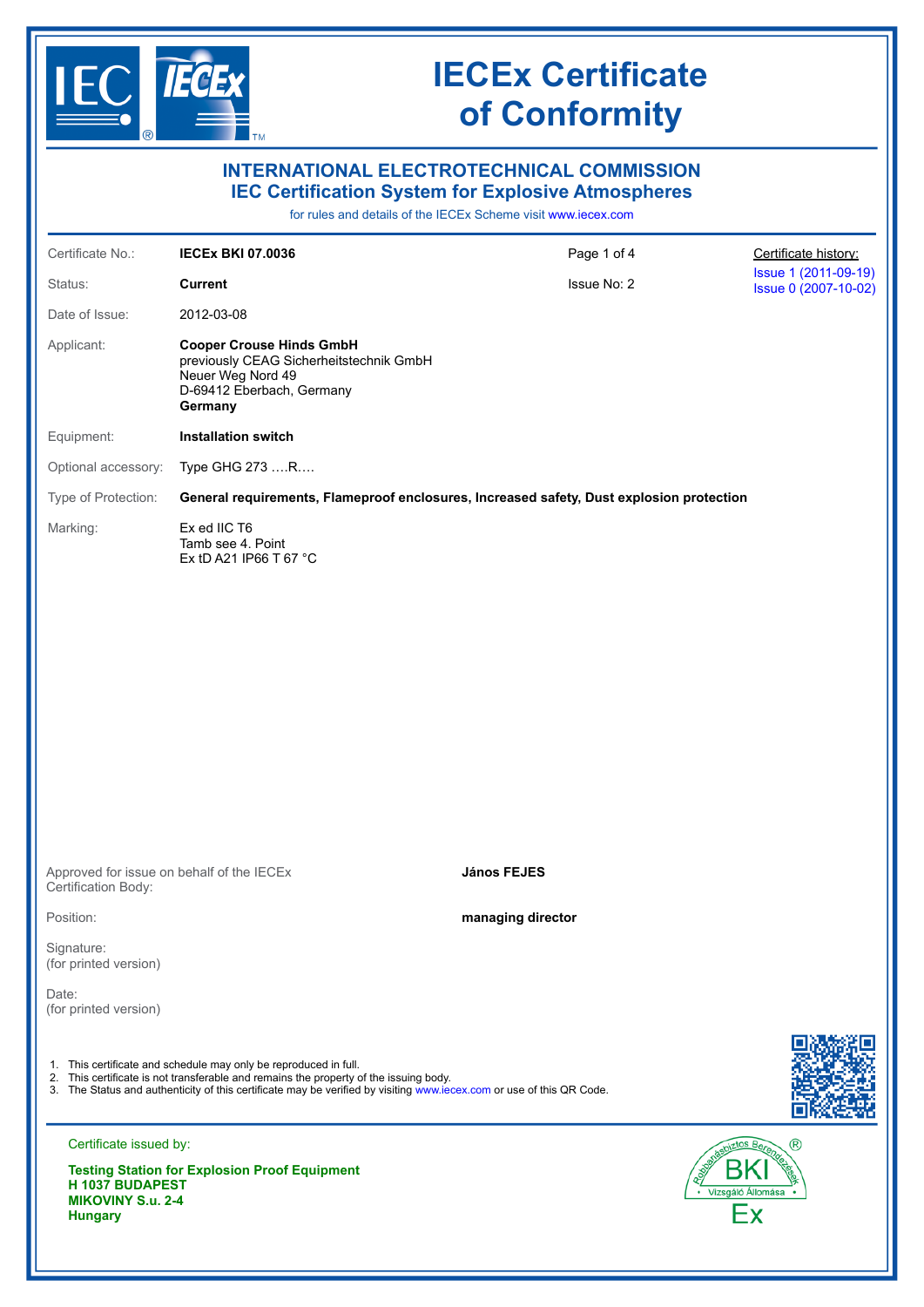

| <b>INTERNATIONAL ELECTROTECHNICAL COMMISSION</b><br><b>IEC Certification System for Explosive Atmospheres</b><br>for rules and details of the IECEx Scheme visit www.iecex.com                                                                                                    |                                                                                                                                         |                    |                                              |  |  |
|-----------------------------------------------------------------------------------------------------------------------------------------------------------------------------------------------------------------------------------------------------------------------------------|-----------------------------------------------------------------------------------------------------------------------------------------|--------------------|----------------------------------------------|--|--|
| Certificate No.:                                                                                                                                                                                                                                                                  | <b>IECEX BKI 07.0036</b>                                                                                                                | Page 1 of 4        | Certificate history:                         |  |  |
| Status:                                                                                                                                                                                                                                                                           | <b>Current</b>                                                                                                                          | Issue No: 2        | Issue 1 (2011-09-19)<br>Issue 0 (2007-10-02) |  |  |
| Date of Issue:                                                                                                                                                                                                                                                                    | 2012-03-08                                                                                                                              |                    |                                              |  |  |
| Applicant:                                                                                                                                                                                                                                                                        | <b>Cooper Crouse Hinds GmbH</b><br>previously CEAG Sicherheitstechnik GmbH<br>Neuer Weg Nord 49<br>D-69412 Eberbach, Germany<br>Germany |                    |                                              |  |  |
| Equipment:                                                                                                                                                                                                                                                                        | <b>Installation switch</b>                                                                                                              |                    |                                              |  |  |
| Optional accessory:                                                                                                                                                                                                                                                               | Type GHG 273 R                                                                                                                          |                    |                                              |  |  |
| Type of Protection:                                                                                                                                                                                                                                                               | General requirements, Flameproof enclosures, Increased safety, Dust explosion protection                                                |                    |                                              |  |  |
| Marking:                                                                                                                                                                                                                                                                          | Ex ed IIC T6<br>Tamb see 4. Point<br>Ex tD A21 IP66 T 67 °C                                                                             |                    |                                              |  |  |
| Approved for issue on behalf of the IECEx<br>Certification Body:                                                                                                                                                                                                                  |                                                                                                                                         | <b>János FEJES</b> |                                              |  |  |
| Position:                                                                                                                                                                                                                                                                         |                                                                                                                                         | managing director  |                                              |  |  |
| Signature:<br>(for printed version)                                                                                                                                                                                                                                               |                                                                                                                                         |                    |                                              |  |  |
| Date:<br>(for printed version)                                                                                                                                                                                                                                                    |                                                                                                                                         |                    |                                              |  |  |
| 1. This certificate and schedule may only be reproduced in full.<br>2. This certificate is not transferable and remains the property of the issuing body.<br>3. The Status and authenticity of this certificate may be verified by visiting www.iecex.com or use of this QR Code. |                                                                                                                                         |                    |                                              |  |  |
| Certificate issued by:                                                                                                                                                                                                                                                            |                                                                                                                                         |                    | (R)                                          |  |  |
| H 1037 BUDAPEST                                                                                                                                                                                                                                                                   | <b>Testing Station for Explosion Proof Equipment</b>                                                                                    |                    |                                              |  |  |

**MIKOVINY S.u. 2-4 Hungary**

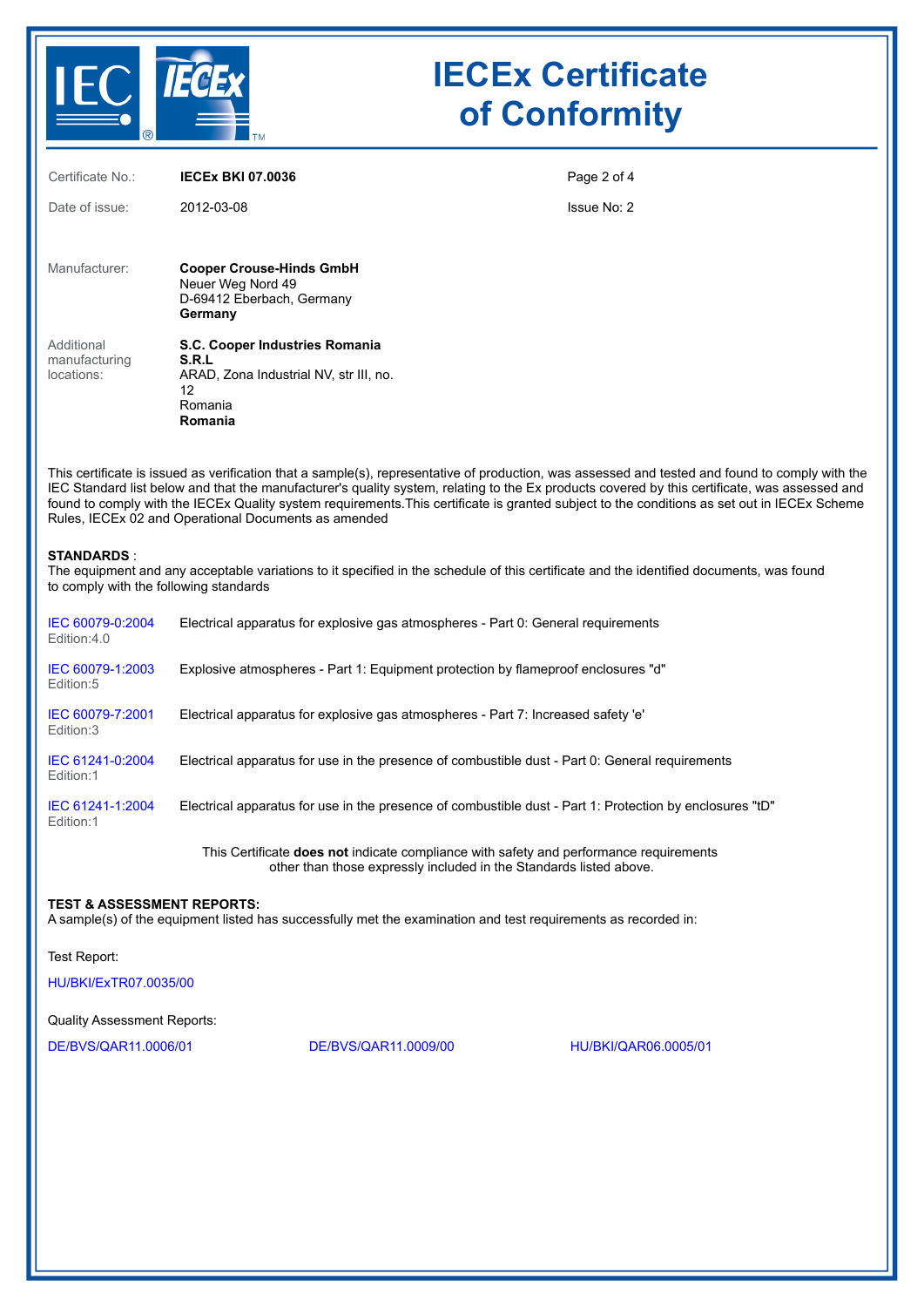

| Certificate No.:                          | <b>IECEX BKI 07.0036</b>                                                                                      | Page 2 of 4 |
|-------------------------------------------|---------------------------------------------------------------------------------------------------------------|-------------|
| Date of issue:                            | 2012-03-08                                                                                                    | Issue No: 2 |
| Manufacturer:                             | <b>Cooper Crouse-Hinds GmbH</b><br>Neuer Weg Nord 49<br>D-69412 Eberbach, Germany<br>Germany                  |             |
| Additional<br>manufacturing<br>locations: | S.C. Cooper Industries Romania<br>S.R.L<br>ARAD, Zona Industrial NV, str III, no.<br>12<br>Romania<br>Romania |             |

This certificate is issued as verification that a sample(s), representative of production, was assessed and tested and found to comply with the IEC Standard list below and that the manufacturer's quality system, relating to the Ex products covered by this certificate, was assessed and found to comply with the IECEx Quality system requirements.This certificate is granted subject to the conditions as set out in IECEx Scheme Rules, IECEx 02 and Operational Documents as amended

### **STANDARDS** :

The equipment and any acceptable variations to it specified in the schedule of this certificate and the identified documents, was found to comply with the following standards

| IEC 60079-0:2004<br>Edition:4.0 | Electrical apparatus for explosive gas atmospheres - Part 0: General requirements                        |
|---------------------------------|----------------------------------------------------------------------------------------------------------|
| IEC 60079-1:2003<br>Edition:5   | Explosive atmospheres - Part 1: Equipment protection by flameproof enclosures "d"                        |
| IEC 60079-7:2001<br>Edition:3   | Electrical apparatus for explosive gas atmospheres - Part 7: Increased safety 'e'                        |
| IEC 61241-0:2004<br>Edition:1   | Electrical apparatus for use in the presence of combustible dust - Part 0: General requirements          |
| IEC 61241-1:2004<br>Edition:1   | Electrical apparatus for use in the presence of combustible dust - Part 1: Protection by enclosures "tD" |

This Certificate **does not** indicate compliance with safety and performance requirements other than those expressly included in the Standards listed above.

### **TEST & ASSESSMENT REPORTS:**

A sample(s) of the equipment listed has successfully met the examination and test requirements as recorded in:

Test Report:

[HU/BKI/ExTR07.0035/00](https://www.iecex-certs.com/#/deliverables/REPORT/28286/view)

Quality Assessment Reports:

[DE/BVS/QAR11.0006/01](https://www.iecex-certs.com/#/deliverables/REPORT/42108/view) [DE/BVS/QAR11.0009/00](https://www.iecex-certs.com/#/deliverables/REPORT/42205/view) [HU/BKI/QAR06.0005/01](https://www.iecex-certs.com/#/deliverables/REPORT/38883/view)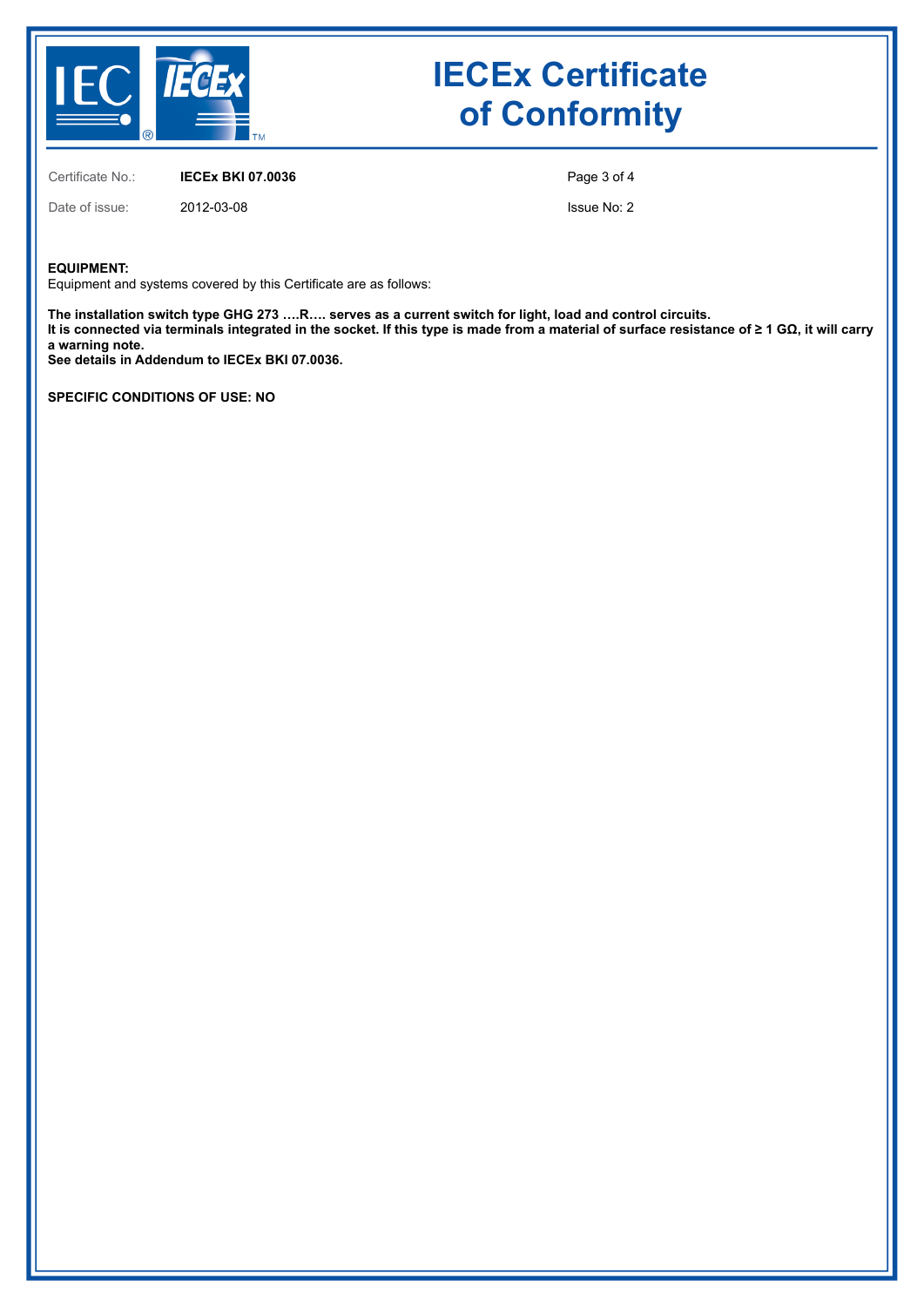

Certificate No.: **IECEx BKI 07.0036**

Date of issue: 2012-03-08

Page 3 of 4

Issue No: 2

## **EQUIPMENT:**

Equipment and systems covered by this Certificate are as follows:

**The installation switch type GHG 273 ….R…. serves as a current switch for light, load and control circuits. It is connected via terminals integrated in the socket. If this type is made from a material of surface resistance of ≥ 1 GΩ, it will carry a warning note.**

**See details in Addendum to IECEx BKI 07.0036.**

**SPECIFIC CONDITIONS OF USE: NO**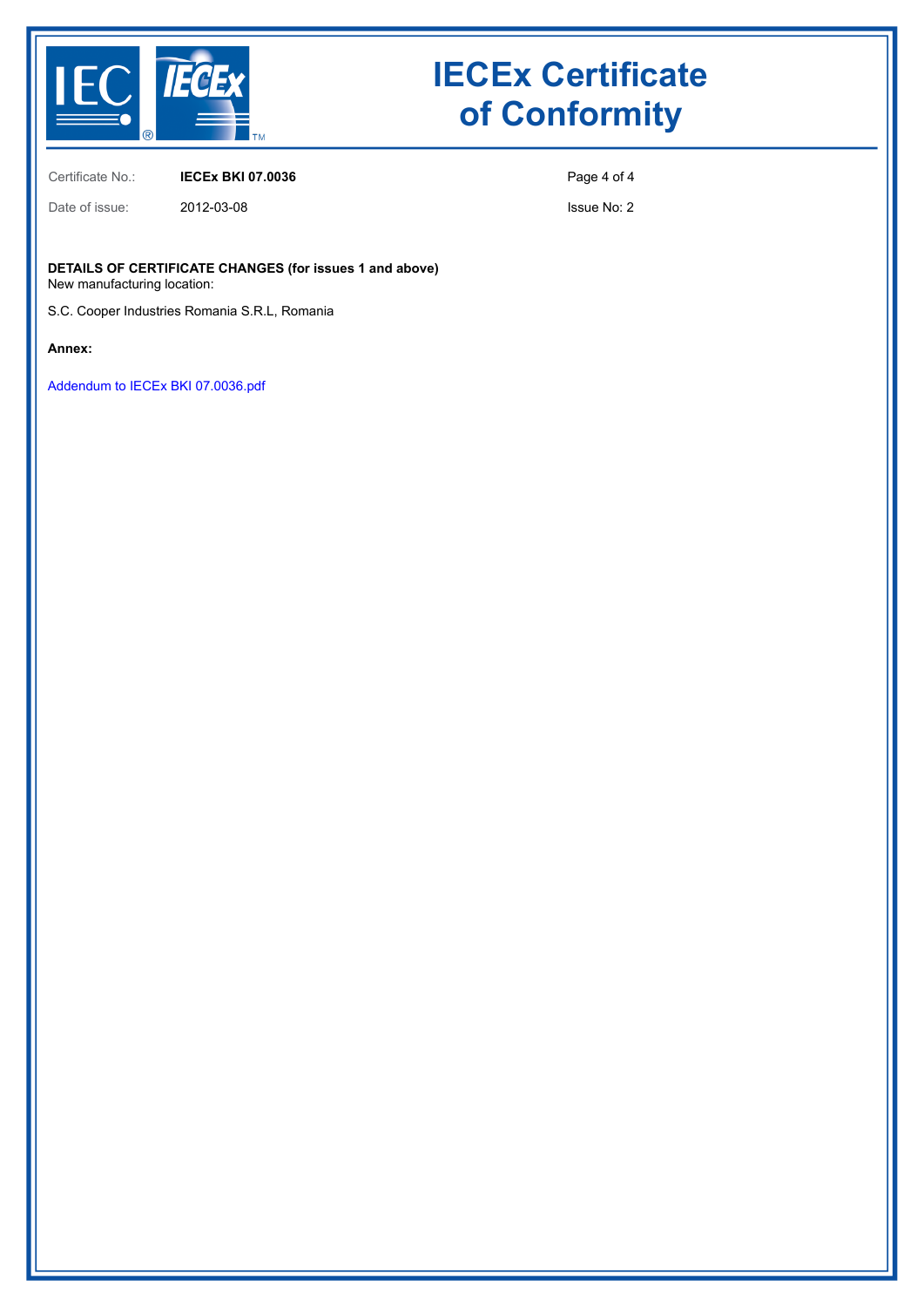

Certificate No.: **IECEx BKI 07.0036**

Date of issue: 2012-03-08

Page 4 of 4

Issue No: 2

**DETAILS OF CERTIFICATE CHANGES (for issues 1 and above)** New manufacturing location:

S.C. Cooper Industries Romania S.R.L, Romania

**Annex:**

[Addendum to IECEx BKI 07.0036.pdf](https://www.iecex-certs.com/#/deliverables/CERT/5907/view)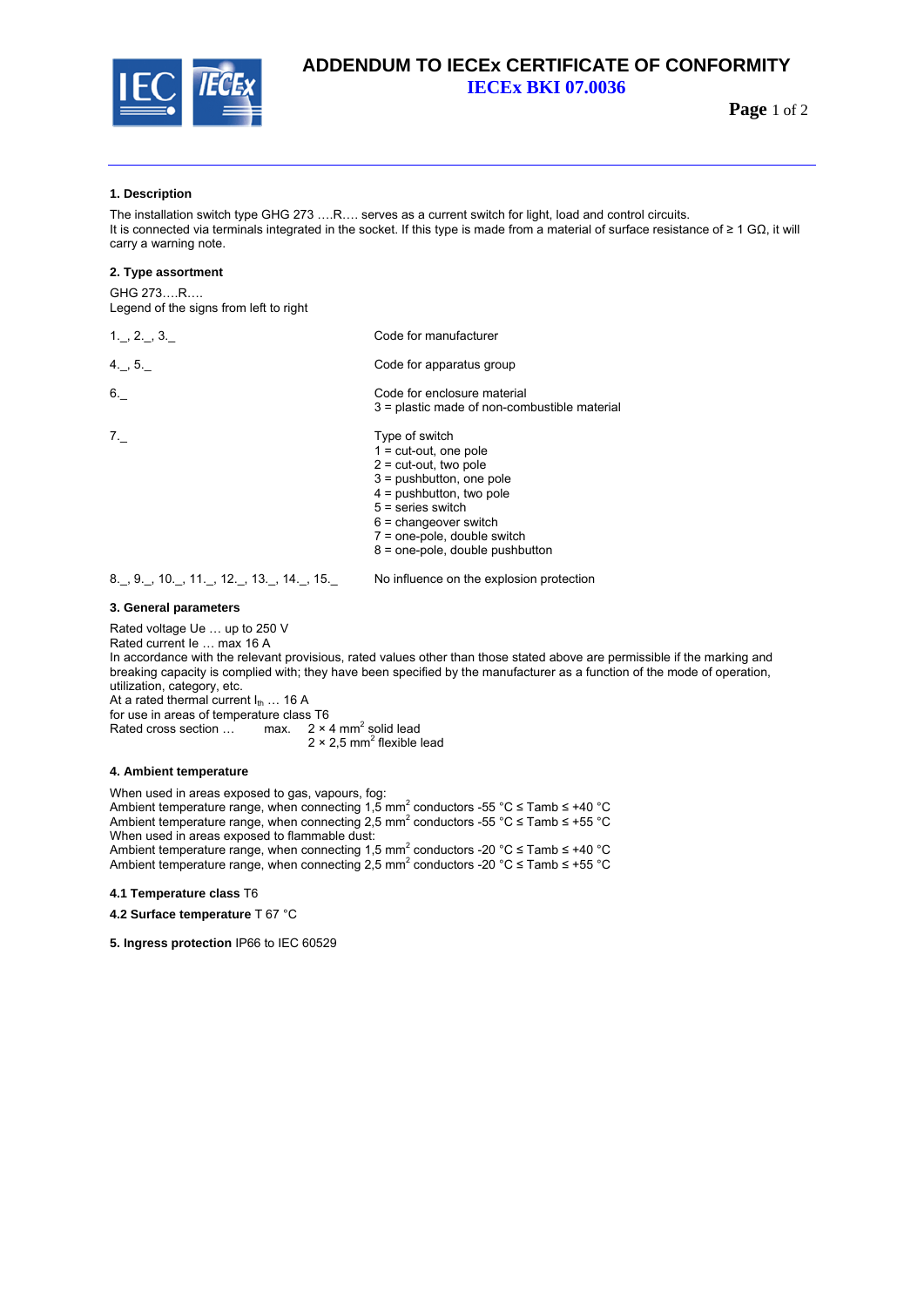

## **ADDENDUM TO IECEx CERTIFICATE OF CONFORMITY IECEx BKI 07.0036**

**Page** 1 of 2

### **1. Description**

The installation switch type GHG 273 ….R…. serves as a current switch for light, load and control circuits. It is connected via terminals integrated in the socket. If this type is made from a material of surface resistance of ≥ 1 GΩ, it will carry a warning note.

#### **2. Type assortment**

GHG 273….R…. Legend of the signs from left to right

| $1 - 2 - 3$ | Code for manufacturer                                                                                                                                                                                                         |  |
|-------------|-------------------------------------------------------------------------------------------------------------------------------------------------------------------------------------------------------------------------------|--|
| 4.75.       | Code for apparatus group                                                                                                                                                                                                      |  |
| 6.          | Code for enclosure material<br>3 = plastic made of non-combustible material                                                                                                                                                   |  |
| 7.          | Type of switch<br>$1 = cut-out$ , one pole<br>$2 = \text{cut-out}$ , two pole<br>$3 =$ pushbutton, one pole<br>$4 = pushbutton$ , two pole<br>$5 =$ series switch<br>$6$ = changeover switch<br>$7 =$ one-pole, double switch |  |

8. , 9. , 10. , 11. , 12. , 13. , 14. , 15. No influence on the explosion protection

#### **3. General parameters**

Rated voltage Ue … up to 250 V

Rated current Ie … max 16 A

In accordance with the relevant provisious, rated values other than those stated above are permissible if the marking and breaking capacity is complied with; they have been specified by the manufacturer as a function of the mode of operation, utilization, category, etc. At a rated thermal current  $I_{th}$  ... 16 A

for use in areas of temperature class T6

Rated cross section ... max.  $2 \times 4$  mm<sup>2</sup> solid lead

 $2 \times 2.5$  mm<sup>2</sup> flexible lead

### **4. Ambient temperature**

When used in areas exposed to gas, vapours, fog: Ambient temperature range, when connecting 1,5 mm<sup>2</sup> conductors -55 °C  $\leq$  Tamb  $\leq$  +40 °C Ambient temperature range, when connecting 2,5 mm<sup>2</sup> conductors -55 °C  $\leq$  Tamb  $\leq$  +55 °C When used in areas exposed to flammable dust: Ambient temperature range, when connecting 1,5 mm<sup>2</sup> conductors -20 °C  $\leq$  Tamb  $\leq$  +40 °C Ambient temperature range, when connecting 2,5 mm<sup>2</sup> conductors -20 °C  $\leq$  Tamb  $\leq$  +55 °C

**4.1 Temperature class** T6

**4.2 Surface temperature** T 67 °C

**5. Ingress protection** IP66 to IEC 60529